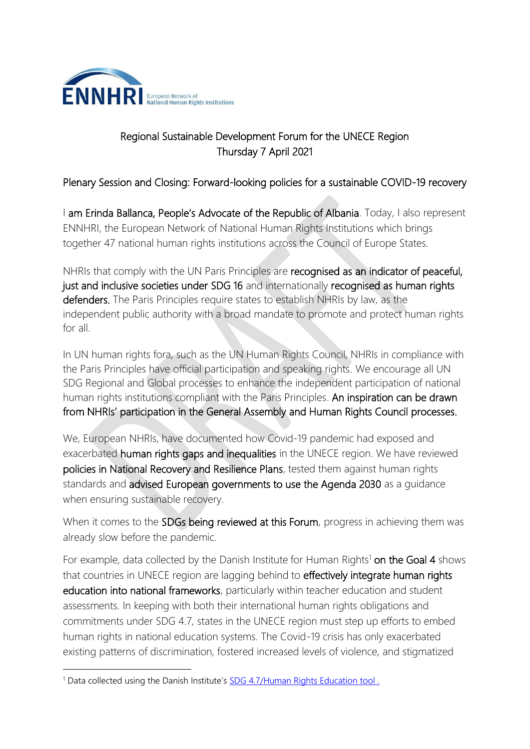

## Regional Sustainable Development Forum for the UNECE Region Thursday 7 April 2021

## Plenary Session and Closing: Forward-looking policies for a sustainable COVID-19 recovery

I am Erinda Ballanca, People's Advocate of the Republic of Albania. Today, I also represent ENNHRI, the European Network of National Human Rights Institutions which brings together 47 national human rights institutions across the Council of Europe States.

NHRIs that comply with the UN Paris Principles are recognised as an indicator of peaceful, just and inclusive societies under SDG 16 and internationally recognised as human rights defenders. The Paris Principles require states to establish NHRIs by law, as the independent public authority with a broad mandate to promote and protect human rights for all.

In UN human rights fora, such as the UN Human Rights Council, NHRIs in compliance with the Paris Principles have official participation and speaking rights. We encourage all UN SDG Regional and Global processes to enhance the independent participation of national human rights institutions compliant with the Paris Principles. An inspiration can be drawn from NHRIs' participation in the General Assembly and Human Rights Council processes.

We, European NHRIs, have documented how Covid-19 pandemic had exposed and exacerbated human rights gaps and inequalities in the UNECE region. We have reviewed policies in National Recovery and Resilience Plans, tested them against human rights standards and advised European governments to use the Agenda 2030 as a guidance when ensuring sustainable recovery.

When it comes to the **SDGs being reviewed at this Forum**, progress in achieving them was already slow before the pandemic.

For example, data collected by the Danish Institute for Human Rights<sup>1</sup> on the Goal 4 shows that countries in UNECE region are lagging behind to effectively integrate human rights education into national frameworks, particularly within teacher education and student assessments. In keeping with both their international human rights obligations and commitments under SDG 4.7, states in the UNECE region must step up efforts to embed human rights in national education systems. The Covid-19 crisis has only exacerbated existing patterns of discrimination, fostered increased levels of violence, and stigmatized

<sup>&</sup>lt;sup>1</sup> Data collected using the Danish Institute's **SDG 4.7/Human Rights Education tool**.